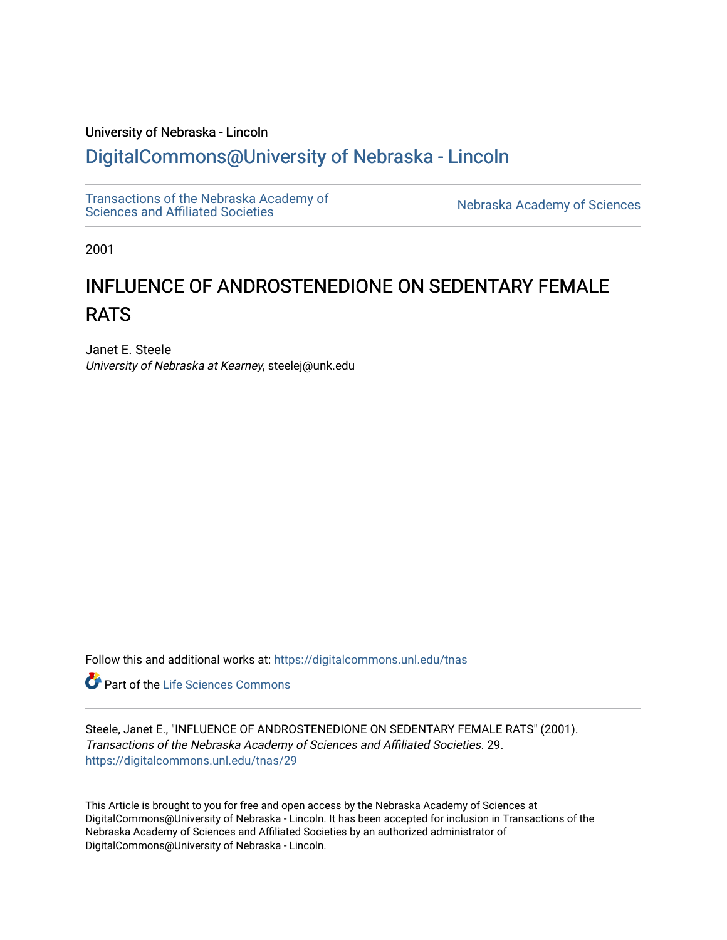# University of Nebraska - Lincoln [DigitalCommons@University of Nebraska - Lincoln](https://digitalcommons.unl.edu/)

[Transactions of the Nebraska Academy of](https://digitalcommons.unl.edu/tnas)  Transactions of the Nebraska Academy of Sciences<br>Sciences and Affiliated Societies

2001

# INFLUENCE OF ANDROSTENEDIONE ON SEDENTARY FEMALE RATS

Janet E. Steele University of Nebraska at Kearney, steelej@unk.edu

Follow this and additional works at: [https://digitalcommons.unl.edu/tnas](https://digitalcommons.unl.edu/tnas?utm_source=digitalcommons.unl.edu%2Ftnas%2F29&utm_medium=PDF&utm_campaign=PDFCoverPages) 

**C** Part of the Life Sciences Commons

Steele, Janet E., "INFLUENCE OF ANDROSTENEDIONE ON SEDENTARY FEMALE RATS" (2001). Transactions of the Nebraska Academy of Sciences and Affiliated Societies. 29. [https://digitalcommons.unl.edu/tnas/29](https://digitalcommons.unl.edu/tnas/29?utm_source=digitalcommons.unl.edu%2Ftnas%2F29&utm_medium=PDF&utm_campaign=PDFCoverPages)

This Article is brought to you for free and open access by the Nebraska Academy of Sciences at DigitalCommons@University of Nebraska - Lincoln. It has been accepted for inclusion in Transactions of the Nebraska Academy of Sciences and Affiliated Societies by an authorized administrator of DigitalCommons@University of Nebraska - Lincoln.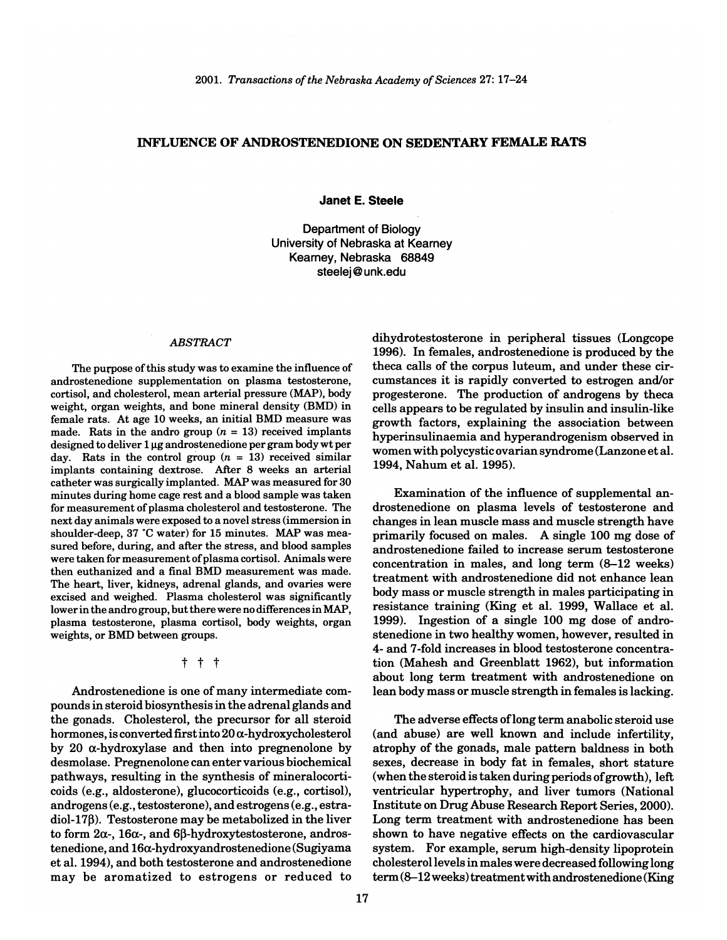#### **INFLUENCE OF ANDROSTENEDIONE ON SEDENTARY FEMALE RATS**

**Janet E. Steele** 

Department of Biology University of Nebraska at Kearney Kearney, Nebraska 68849 steelej @unk.edu

## *ABSTRACT*

The purpose of this study was to examine the influence of androstenedione supplementation on plasma testosterone, cortisol, and cholesterol, mean arterial pressure (MAP), body weight, organ weights, and bone mineral density (BMD) in female rats. At age 10 weeks, an initial BMD measure was made. Rats in the andro group  $(n = 13)$  received implants designed to deliver 1 µg androstenedione per gram body wt per day. Rats in the control group  $(n = 13)$  received similar implants containing dextrose. After 8 weeks an arterial catheter was surgically implanted. MAP was measured for 30 minutes during home cage rest and a blood sample was taken for measurement of plasma cholesterol and testosterone. The next day animals were exposed to a novel stress (immersion in shoulder-deep, 37 °C water) for 15 minutes. MAP was measured before, during, and after the stress, and blood samples were taken for measurement of plasma cortisol. Animals were then euthanized and a final BMD measurement was made. The heart, liver, kidneys, adrenal glands, and ovaries were excised and weighed. Plasma cholesterol was significantly lower in the andro group, but there were no differences in MAP, plasma testosterone, plasma cortisol, body weights, organ weights, or BMD between groups.

t t t

Androstenedione is one of many intermediate compounds in steroid biosynthesis in the adrenal glands and the gonads. Cholesterol, the precursor for all steroid hormones, is converted first into  $20\alpha$ -hydroxycholesterol by 20  $\alpha$ -hydroxylase and then into pregnenolone by desmolase. Pregnenolone can enter various biochemical pathways, resulting in the synthesis of mineralocorticoids (e.g., aldosterone), glucocorticoids (e.g., cortisol), androgens (e.g., testosterone), and estrogens (e.g., estradiol-17 $\beta$ ). Testosterone may be metabolized in the liver to form  $2\alpha$ -,  $16\alpha$ -, and  $6\beta$ -hydroxytestosterone, androstenedione, and 16a-hydroxyandrostenedione (Sugiyama et al. 1994), and both testosterone and androstenedione may be aromatized to estrogens or reduced to

dihydrotestosterone in peripheral tissues (Longcope 1996). In females, androstenedione is produced by the theca calls of the corpus luteum, and under these circumstances it is rapidly converted to estrogen and/or progesterone. The production of androgens by theca cells appears to be regulated by insulin and insulin-like growth factors, explaining the association between hyperinsulinaemia and hyperandrogenism observed in women with polycystic ovarian syndrome (Lanzone et al. 1994, Nahum et al. 1995).

Examination of the influence of supplemental androstenedione on plasma levels of testosterone and changes in lean muscle mass and muscle strength have primarily focused on males. A single 100 mg dose of androstenedione failed to increase serum testosterone concentration in males, and long term (8-12 weeks) treatment with androstenedione did not enhance lean body mass or muscle strength in males participating in resistance training (King et al. 1999, Wallace et al. 1999). Ingestion of a single 100 mg dose of androstenedione in two healthy women, however, resulted in 4- and 7-fold increases in blood testosterone concentration (Mahesh and Greenblatt 1962), but information about long term treatment with androstenedione on lean body mass or muscle strength in females is lacking.

The adverse effects oflong term anabolic steroid use (and abuse) are well known and include infertility, atrophy of the gonads, male pattern baldness in both sexes, decrease in body fat in females, short stature (when the steroid is taken during periods of growth), left ventricular hypertrophy, and liver tumors (National Institute on Drug Abuse Research Report Series, 2000). Long term treatment with androstenedione has been shown to have negative effects on the cardiovascular system. For example, serum high-density lipoprotein cholesterol levels in males were decreased following long term (8-12 weeks) treatment with androstenedione (King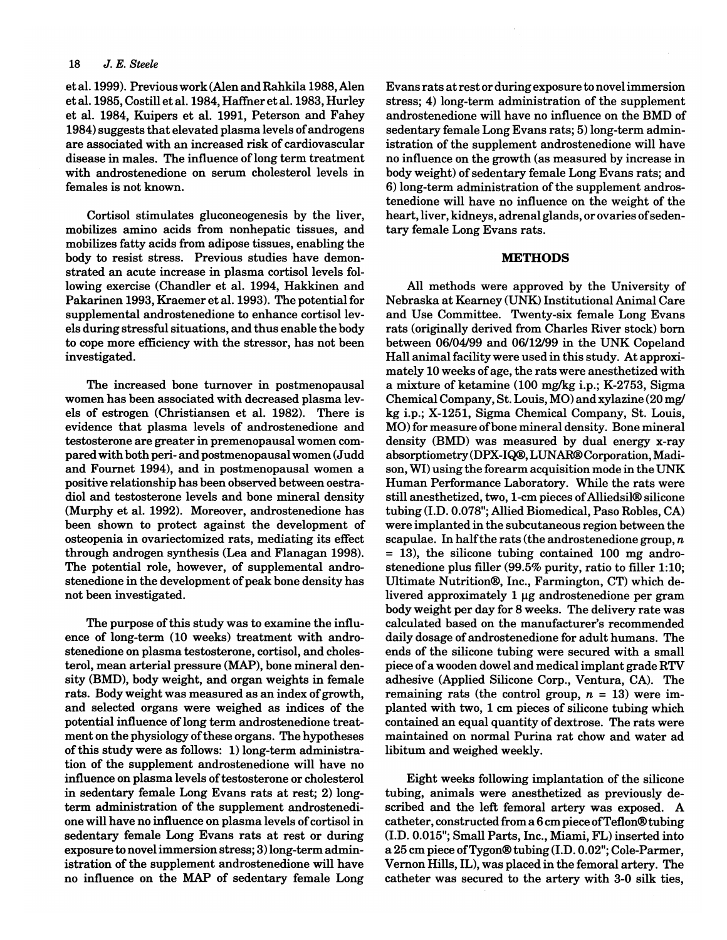et al. 1999). Previous work (Alen and Rahkila 1988, Alen et al. 1985, Costill et al. 1984, Haffner et al. 1983, Hurley et al. 1984, Kuipers et al. 1991, Peterson and Fahey 1984) suggests that elevated plasma levels of androgens are associated with an increased risk of cardiovascular disease in males. The influence of long term treatment with androstenedione on serum cholesterol levels in females is not known.

Cortisol stimulates gluconeogenesis by the liver, mobilizes amino acids from nonhepatic tissues, and mobilizes fatty acids from adipose tissues, enabling the body to resist stress. Previous studies have demonstrated an acute increase in plasma cortisol levels following exercise (Chandler et al. 1994, Hakkinen and Pakarinen 1993, Kraemer et al. 1993). The potential for supplemental androstenedione to enhance cortisol levels during stressful situations, and thus enable the body to cope more efficiency with the stressor, has not been investigated.

The increased bone turnover in postmenopausal women has been associated with decreased plasma levels of estrogen (Christiansen et al. 1982). There is evidence that plasma levels of androstenedione and testosterone are greater in premenopausal women compared with both peri- and postmenopausal women (Judd and Fournet 1994), and in postmenopausal women a positive relationship has been observed between oestradiol and testosterone levels and bone mineral density (Murphy et al. 1992). Moreover, androstenedione has been shown to protect against the development of osteopenia in ovariectomized rats, mediating its effect through androgen synthesis (Lea and Flanagan 1998). The potential role, however, of supplemental androstenedione in the development of peak bone density has not been investigated.

The purpose of this study was to examine the influence of long-term (10 weeks) treatment with androstenedione on plasma testosterone, cortisol, and cholesterol, mean arterial pressure (MAP), bone mineral density (BMD), body weight, and organ weights in female rats. Body weight was measured as an index of growth, and selected organs were weighed as indices of the potential influence of long term androstenedione treatment on the physiology of these organs. The hypotheses of this study were as follows: 1) long-term administration of the supplement androstenedione will have no influence on plasma levels of testosterone or cholesterol in sedentary female Long Evans rats at rest; 2) longterm administration of the supplement androstenedione will have no influence on plasma levels of cortisol in sedentary female Long Evans rats at rest or during exposure to novel immersion stress; 3) long-term administration of the supplement androstenedione will have no influence on the MAP of sedentary female Long Evans rats at rest or during exposure to novel immersion stress; 4) long-term administration of the supplement androstenedione will have no influence on the BMD of sedentary female Long Evans rats; 5) long-term administration of the supplement androstenedione will have no influence on the growth (as measured by increase in body weight) of sedentary female Long Evans rats; and 6) long-term administration of the supplement androstenedione will have no influence on the weight of the heart, liver, kidneys, adrenal glands, or ovaries of sedentary female Long Evans rats.

## **METHODS**

All methods were approved by the University of Nebraska at Kearney (UNK) Institutional Animal Care and Use Committee. Twenty-six female Long Evans rats (originally derived from Charles River stock) born between 06/04/99 and *06112199* in the UNK Copeland Hall animal facility were used in this study. At approximately 10 weeks of age, the rats were anesthetized with a mixture of ketamine (100 mg/kg i.p.; K-2753, Sigma Chemical Company, St. Louis, MO) and xylazine (20 mg/ kg i.p.; X-1251, Sigma Chemical Company, St. Louis, MO) for measure of bone mineral density. Bone mineral density (BMD) was measured by dual energy x-ray absorptiometry(DPX-IQ®, LUNAR®Corporation, Madison, WI) using the forearm acquisition mode in the UNK Human Performance Laboratory. While the rats were still anesthetized, two, l-cm pieces of Alliedsil® silicone tubing (I.D. 0.078"; Allied Biomedical, Paso Robles, CA) were implanted in the subcutaneous region between the scapulae. In halfthe rats (the androstenedione group, *n*  = 13), the silicone tubing contained 100 mg androstenedione plus filler (99.5% purity, ratio to filler 1:10; Ultimate Nutrition®, Inc., Farmington, CT) which delivered approximately  $1 \mu$ g androstenedione per gram body weight per day for 8 weeks. The delivery rate was calculated based on the manufacturer's recommended daily dosage of androstenedione for adult humans. The ends of the silicone tubing were secured with a small piece of a wooden dowel and medical implant grade RTV adhesive (Applied Silicone Corp., Ventura, CA). The remaining rats (the control group,  $n = 13$ ) were implanted with two, 1 cm pieces of silicone tubing which contained an equal quantity of dextrose. The rats were maintained on normal Purina rat chow and water ad libitum and weighed weekly.

Eight weeks following implantation of the silicone tubing, animals were anesthetized as previously described and the left femoral artery was exposed. A catheter, constructed from a 6 cm piece ofTeflon®tubing (I.D. 0.015"; Small Parts, Inc., Miami, FL) inserted into a 25 cm piece ofTygon® tubing (I.D. 0.02"; Cole-Parmer, Vernon Hills, IL), was placed in the femoral artery. The catheter was secured to the artery with 3-0 silk ties,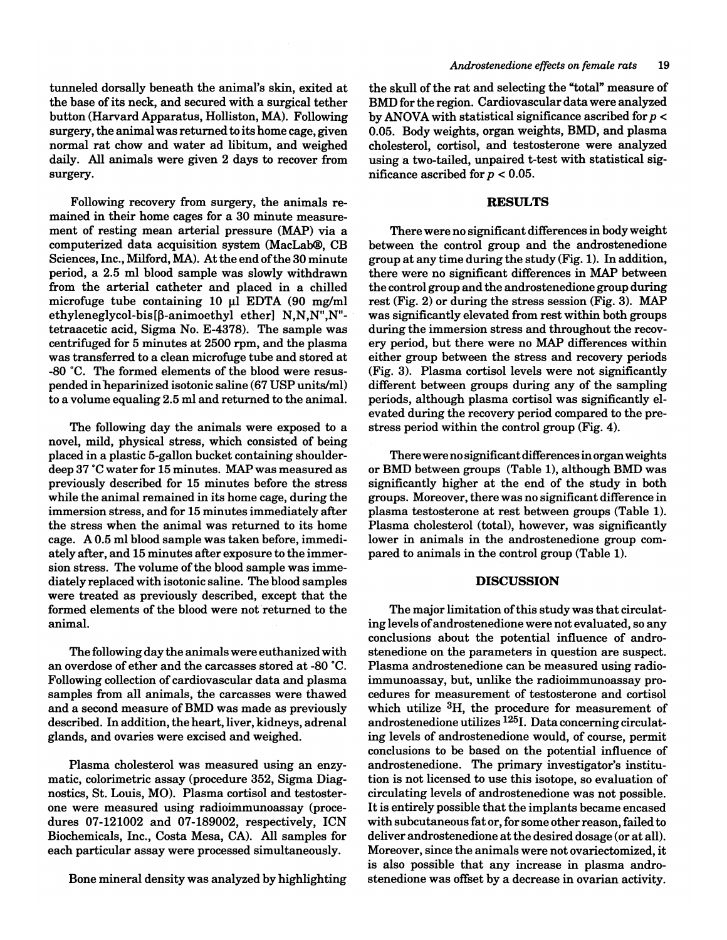tunneled dorsally beneath the animal's skin, exited at the base of its neck, and secured with a surgical tether button (Harvard Apparatus, Holliston, MA). Following surgery, the animal was returned to its home cage, given normal rat chow and water ad libitum, and weighed daily. All animals were given 2 days to recover from surgery.

Following recovery from surgery, the animals remained in their home cages for a 30 minute measurement of resting mean arterial pressure (MAP) via a computerized data acquisition system (MacLab®, CB Sciences, Inc., Milford, MA). At the end of the 30 minute period, a 2.5 ml blood sample was slowly withdrawn from the arterial catheter and placed in a chilled microfuge tube containing 10  $\mu$ l EDTA (90 mg/ml ethyleneglycol-bis $[\beta$ -animoethyl ether] N,N,N",N"tetraacetic acid, Sigma No. E-4378). The sample was centrifuged for 5 minutes at 2500 rpm, and the plasma was transferred to a clean microfuge tube and stored at -80 ·C. The formed elements of the blood were resuspended in heparinized isotonic saline (67 USP units/ml) to a volume equaling 2.5 ml and returned to the animal.

The following day the animals were exposed to a novel, mild, physical stress, which consisted of being placed in a plastic 5-gallon bucket containing shoulderdeep 37 ·C water for 15 minutes. MAP was measured as previously described for 15 minutes before the stress while the animal remained in its home cage, during the immersion stress, and for 15 minutes immediately after the stress when the animal was returned to its home cage. A 0.5 ml blood sample was taken before, immediately after, and 15 minutes after exposure to the immersion stress. The volume of the blood sample was immediately replaced with isotonic saline. The blood samples were treated as previously described, except that the formed elements of the blood were not returned to the animal.

The following day the animals were euthanized with an overdose of ether and the carcasses stored at -80 ·C. Following collection of cardiovascular data and plasma samples from all animals, the carcasses were thawed and a second measure of BMD was made as previously described. In addition, the heart, liver, kidneys, adrenal glands, and ovaries were excised and weighed.

Plasma cholesterol was measured using an enzymatic, colorimetric assay (procedure 352, Sigma Diagnostics, St. Louis, MO). Plasma cortisol and testosterone were measured using radioimmunoassay (procedures 07-121002 and 07-189002, respectively, ICN Biochemicals, Inc., Costa Mesa, CA). All samples for each particular assay were processed simultaneously.

Bone mineral density was analyzed by highlighting

the skull of the rat and selecting the "total" measure of BMD for the region. Cardiovascular data were analyzed by ANOVA with statistical significance ascribed for *p* < 0.05. Body weights, organ weights, BMD, and plasma cholesterol, cortisol, and testosterone were analyzed using a two-tailed, unpaired t-test with statistical significance ascribed for  $p < 0.05$ .

# **RESULTS**

There were no significant differences in body weight between the control group and the androstenedione group at any time during the study (Fig. 1). In addition, there were no significant differences in MAP between the control group and the androstenedione group during rest (Fig. 2) or during the stress session (Fig. 3). MAP was significantly elevated from rest within both groups during the immersion stress and throughout the recovery period, but there were no MAP differences within either group between the stress and recovery periods (Fig. 3). Plasma cortisol levels were not significantly different between groups during any of the sampling periods, although plasma cortisol was significantly elevated during the recovery period compared to the prestress period within the control group (Fig. 4).

There were no significant differences in organ weights or BMD between groups (Table 1), although BMD was significantly higher at the end of the study in both groups. Moreover, there was no significant difference in plasma testosterone at rest between groups (Table 1). Plasma cholesterol (total), however, was significantly lower in animals in the androstenedione group compared to animals in the control group (Table 1).

# **DISCUSSION**

The major limitation of this study was that circulating levels of androstenedione were not evaluated, so any conclusions about the potential influence of androstenedione on the parameters in question are suspect. Plasma androstenedione can be measured using radioimmunoassay, but, unlike the radioimmunoassay procedures for measurement of testosterone and cortisol which utilize <sup>3</sup>H, the procedure for measurement of androstenedione utilizes 1251. Data concerning circulating levels of androstenedione would, of course, permit conclusions to be based on the potential influence of androstenedione. The primary investigator's institution is not licensed to use this isotope, so evaluation of circulating levels of androstenedione was not possible. It is entirely possible that the implants became encased with subcutaneous fat or, for some other reason, failed to deliver androstenedione at the desired dosage (or at all). Moreover, since the animals were not ovariectomized, it is also possible that any increase in plasma androstenedione was offset by a decrease in ovarian activity.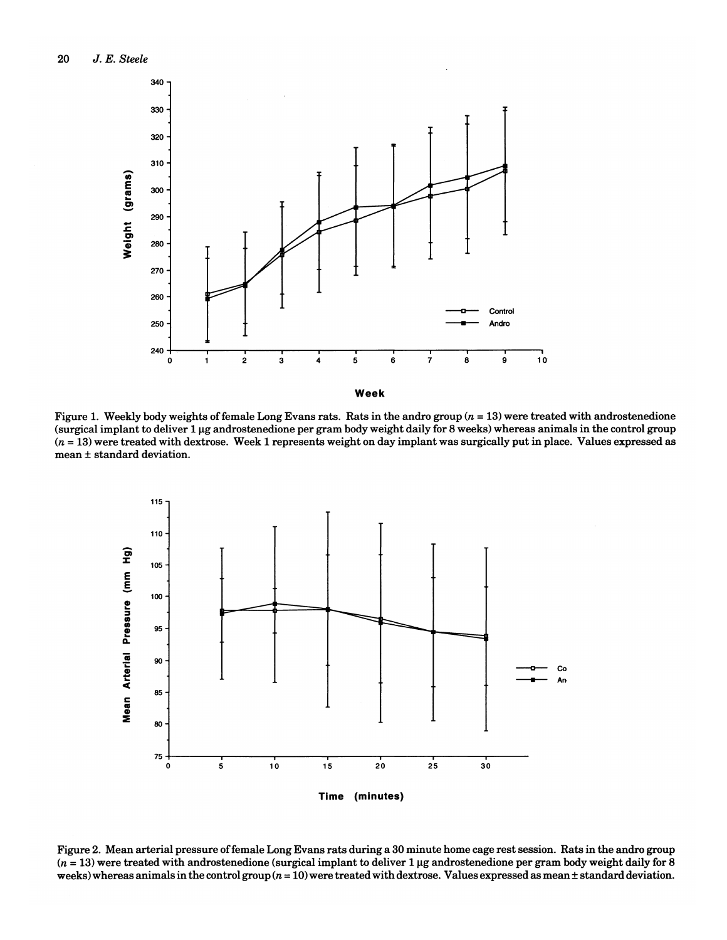





Figure 2. Mean arterial pressure offemale Long Evans rats during a 30 minute home cage rest session. Rats in the andro group  $(n = 13)$  were treated with androstenedione (surgical implant to deliver 1 µg androstenedione per gram body weight daily for 8 weeks) whereas animals in the control group  $(n = 10)$  were treated with dextrose. Values expressed as mean  $\pm$  standard deviation.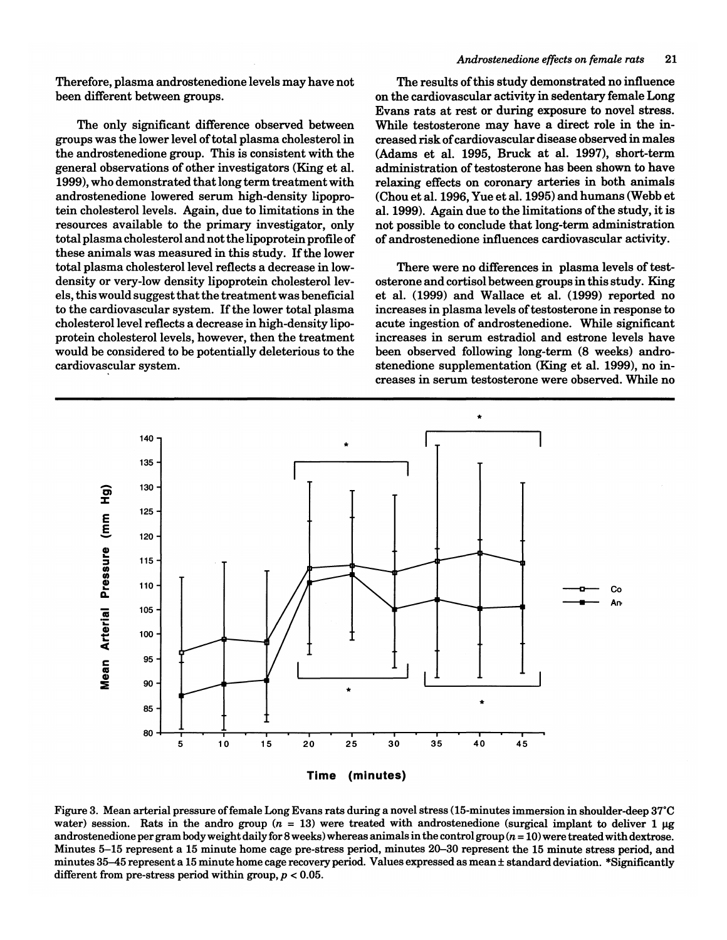Therefore, plasma androstenedione levels may have not been different between groups.

The only significant difference observed between groups was the lower level of total plasma cholesterol in the androstenedione group. This is consistent with the general observations of other investigators (King et al. 1999), who demonstrated that long term treatment with androstenedione lowered serum high-density lipoprotein cholesterol levels. Again, due to limitations in the resources available to the primary investigator, only total plasma cholesterol and not the lipoprotein profile of these animals was measured in this study. If the lower total plasma cholesterol level reflects a decrease in lowdensity or very-low density lipoprotein cholesterol levels, this would suggest that the treatment was beneficial to the cardiovascular system. If the lower total plasma cholesterol level reflects a decrease in high-density lipoprotein cholesterol levels, however, then the treatment would be considered to be potentially deleterious to the cardiovascular system.

## *Androstenedione effects on female rats* 21

The results of this study demonstrated no influence on the cardiovascular activity in sedentary female Long Evans rats at rest or during exposure to novel stress. While testosterone may have a direct role in the increased risk of cardiovascular disease observed in males (Adams et al. 1995, Bruck at al. 1997), short-term administration of testosterone has been shown to have relaxing effects on coronary arteries in both animals (Chou et al. 1996, Yue et al. 1995) and humans (Webb et al. 1999). Again due to the limitations of the study, it is not possible to conclude that long-term administration of androstenedione influences cardiovascular activity.

There were no differences in plasma levels of testosterone and cortisol between groups in this study. King et al. (1999) and Wallace et al. (1999) reported no increases in plasma levels of testosterone in response to acute ingestion of androstenedione. While significant increases in serum estradiol and estrone levels have been observed following long-term (8 weeks) androstenedione supplementation (King et al. 1999), no increases in serum testosterone were observed. While no



Figure 3. Mean arterial pressure offemale Long Evans rats during a novel stress (15-minutes immersion in shoulder-deep 37°C water) session. Rats in the andro group ( $n = 13$ ) were treated with androstenedione (surgical implant to deliver 1  $\mu$ g androstenedione per gram body weight daily for 8 weeks) whereas animals in the control group  $(n = 10)$  were treated with dextrose. Minutes 5-15 represent a 15 minute home cage pre-stress period, minutes 20-30 represent the 15 minute stress period, and minutes 35-45 represent a 15 minute home cage recovery period. Values expressed as mean ± standard deviation. \*Significantly different from pre-stress period within group,  $p < 0.05$ .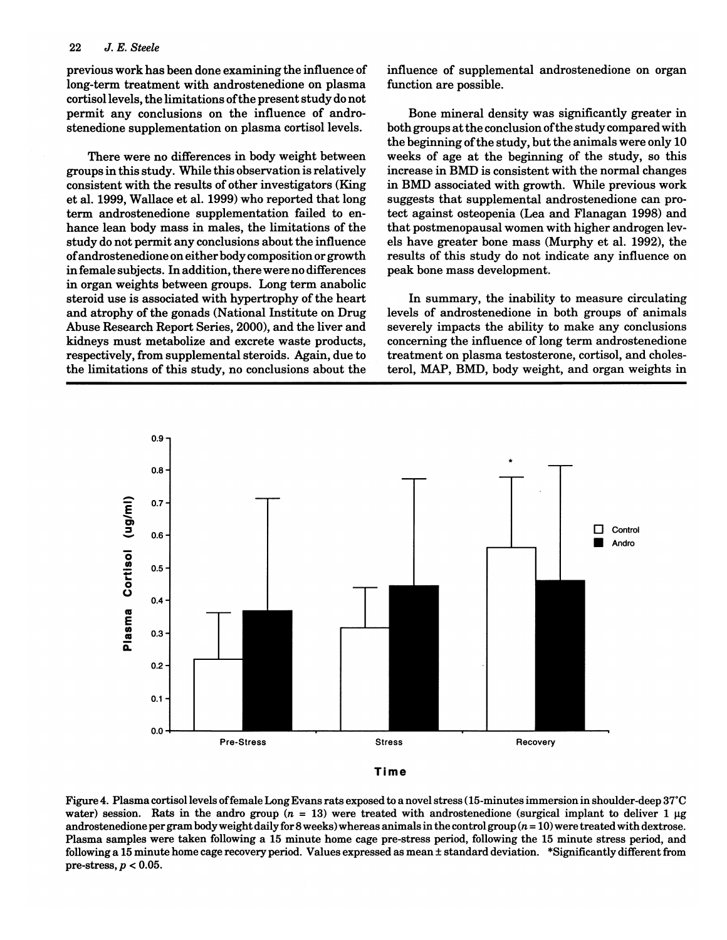previous work has been done examining the influence of long-term treatment with androstenedione on plasma cortisol levels, the limitations ofthe present study do not permit any conclusions on the influence of androstenedione supplementation on plasma cortisol levels.

There were no differences in body weight between groups in this study. While this observation is relatively consistent with the results of other investigators (King et a1. 1999, Wallace et a1. 1999) who reported that long term androstenedione supplementation failed to enhance lean body mass in males, the limitations of the study do not permit any conclusions about the influence of androstenedione on either body composition or growth in female subjects. In addition, there were no differences in organ weights between groups. Long term anabolic steroid use is associated with hypertrophy of the heart and atrophy of the gonads (National Institute on Drug Abuse Research Report Series, 2000), and the liver and kidneys must metabolize and excrete waste products, respectively, from supplemental steroids. Again, due to the limitations of this study, no conclusions about the influence of supplemental androstenedione on organ function are possible.

Bone mineral density was significantly greater in both groups at the conclusion ofthe study compared with the beginning of the study, but the animals were only 10 weeks of age at the beginning of the study, so this increase in BMD is consistent with the normal changes in BMD associated with growth. While previous work suggests that supplemental androstenedione can protect against osteopenia (Lea and Flanagan 1998) and that postmenopausal women with higher androgen levels have greater bone mass (Murphy et a1. 1992), the results of this study do not indicate any influence on peak bone mass development.

In summary, the inability to measure circulating levels of androstenedione in both groups of animals severely impacts the ability to make any conclusions concerning the influence of long term androstenedione treatment on plasma testosterone, cortisol, and cholesterol, MAP, BMD, body weight, and organ weights in





Figure 4. Plasma cortisol levels offemale Long Evans rats exposed to a novel stress (15-minutes immersion in shoulder-deep 37°C water) session. Rats in the andro group ( $n = 13$ ) were treated with androstenedione (surgical implant to deliver 1  $\mu$ g androstenedione per gram body weight daily for 8 weeks) whereas animals in the control group  $(n = 10)$  were treated with dextrose. Plasma samples were taken following a 15 minute home cage pre-stress period, following the 15 minute stress period, and following a 15 minute home cage recovery period. Values expressed as mean ± standard deviation. \*Significantly different from pre-stress, *p* < 0.05.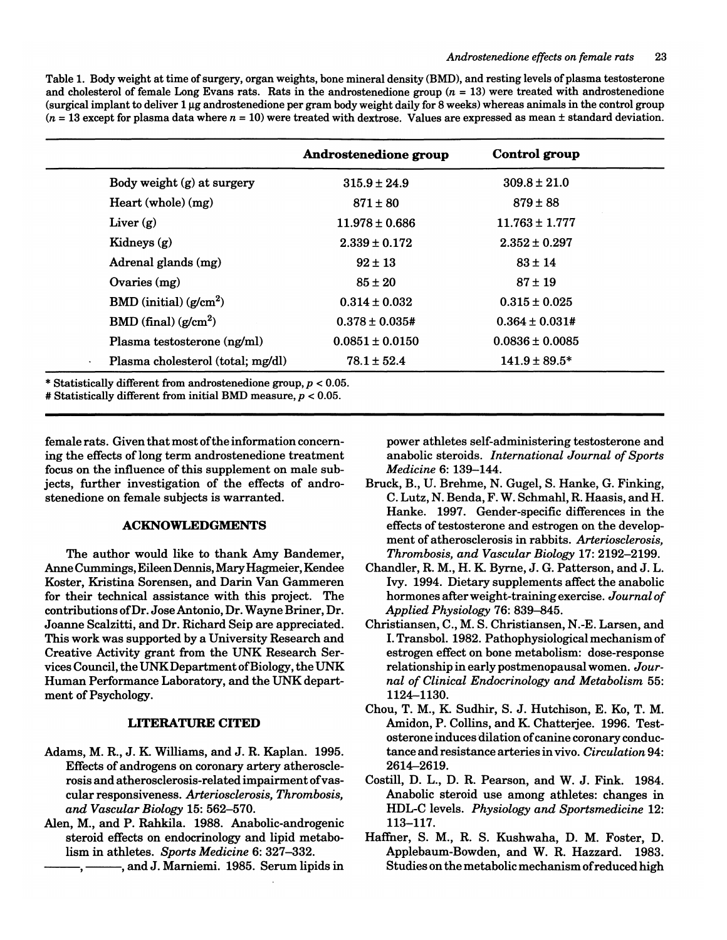Table 1. Body weight at time of surgery, organ weights, bone mineral density (BMD), and resting levels of plasma testosterone and cholesterol of female Long Evans rats. Rats in the androstenedione group  $(n = 13)$  were treated with androstenedione  $(surgical implant to deliver 1  $\mu g$  and rostenedione per gram body weight daily for 8 weeks) whereas animals in the control group$  $(n = 13$  except for plasma data where  $n = 10$ ) were treated with dextrose. Values are expressed as mean  $\pm$  standard deviation.

|                                                          | Androstenedione group | Control group       |
|----------------------------------------------------------|-----------------------|---------------------|
| Body weight (g) at surgery                               | $315.9 \pm 24.9$      | $309.8 \pm 21.0$    |
| Heart (whole) (mg)                                       | $871 \pm 80$          | $879 \pm 88$        |
| Liver $(g)$                                              | $11.978 \pm 0.686$    | $11.763 \pm 1.777$  |
| Kidneys $(g)$                                            | $2.339 \pm 0.172$     | $2.352 \pm 0.297$   |
| Adrenal glands (mg)                                      | $92 \pm 13$           | $83 \pm 14$         |
| Ovaries $(mg)$                                           | $85 \pm 20$           | $87 \pm 19$         |
| BMD (initial) $(g/cm^2)$                                 | $0.314 \pm 0.032$     | $0.315 \pm 0.025$   |
| $BMD$ (final) ( $g/cm2$ )                                | $0.378 \pm 0.035$ #   | $0.364 \pm 0.031$ # |
| Plasma testosterone (ng/ml)                              | $0.0851 \pm 0.0150$   | $0.0836 \pm 0.0085$ |
| Plasma cholesterol (total; mg/dl)<br>$\hat{\phantom{a}}$ | $78.1 \pm 52.4$       | $141.9 \pm 89.5^*$  |

\* Statistically different from androstenedione group,  $p < 0.05$ .

# Statistically different from initial BMD measure,  $p < 0.05$ .

female rats. Given that most of the information concerning the effects of long term androstenedione treatment focus on the influence of this supplement on male subjects, further investigation of the effects of androstenedione on female subjects is warranted.

# ACKNOWLEDGMENTS

The author would like to thank Amy Bandemer, Anne Cummings, Eileen Dennis, Mary Hagmeier, Kendee Koster, Kristina Sorensen, and Darin Van Gammeren for their technical assistance with this project. The contributions of Dr. Jose Antonio, Dr. Wayne Briner, Dr. Joanne Scalzitti, and Dr. Richard Seip are appreciated. This work was supported by a University Research and Creative Activity grant from the UNK Research Services Council, the UNKDepartment of Biology, the UNK Human Performance Laboratory, and the UNK department of Psychology.

### LITERATURE CITED

- Adams, M. R., J. K. Williams, and J. R. Kaplan. 1995. Effects of androgens on coronary artery atherosclerosis and atherosclerosis-related impairment of vascular responsiveness. *Arteriosclerosis, Thrombosis, and Vascular Biology* 15: 562-570.
- Alen, M., and P. Rahkila. 1988. Anabolic-androgenic steroid effects on endocrinology and lipid metabolism in athletes. *Sports Medicine* 6: 327-332.

-, ----------, and J. Marniemi. 1985. Serum lipids in

power athletes self-administering testosterone and anabolic steroids. *International Journal of Sports Medicine* 6: 139-144.

- Bruck, B., U. Brehme, N. Gugel, S. Hanke, G. Finking, C. Lutz, N. Benda, F. W. Schmahl, R. Haasis, and H. Hanke. 1997. Gender-specific differences in the effects of testosterone and estrogen on the development of atherosclerosis in rabbits. *Arteriosclerosis, Thrombosis, and Vascular Biology* 17: 2192-2199.
- Chandler, R. M., H. K. Byrne, J. G. Patterson, and J. L. Ivy. 1994. Dietary supplements affect the anabolic hormones after weight-training exercise. *Journal of Applied Physiology* 76: 839-845.
- Christiansen, C., M. S. Christiansen, N.-E. Larsen, and I. Transbol. 1982. Pathophysiological mechanism of estrogen effect on bone metabolism: dose-response relationship in early postmenopausal women. *Journal of Clinical Endocrinology and Metabolism* 55: 1124-1130.
- Chou, T. M., K. Sudhir, S. J. Hutchison, E. Ko, T. M. Amidon, P. Collins, and K. Chatterjee. 1996. Testosterone induces dilation of canine coronary conductance and resistance arteries in vivo. *Circulation 94:*  2614-2619.
- Costill, D. L., D. R. Pearson, and W. J. Fink. 1984. Anabolic steroid use among athletes: changes in HDL-C levels. *Physiology and Sportsmedicine* 12: 113-117.
- Haffner, S. M., R. S. Kushwaha, D. M. Foster, D. Applebaum-Bowden, and W. R. Hazzard. 1983. Studies on the metabolic mechanism of reduced high